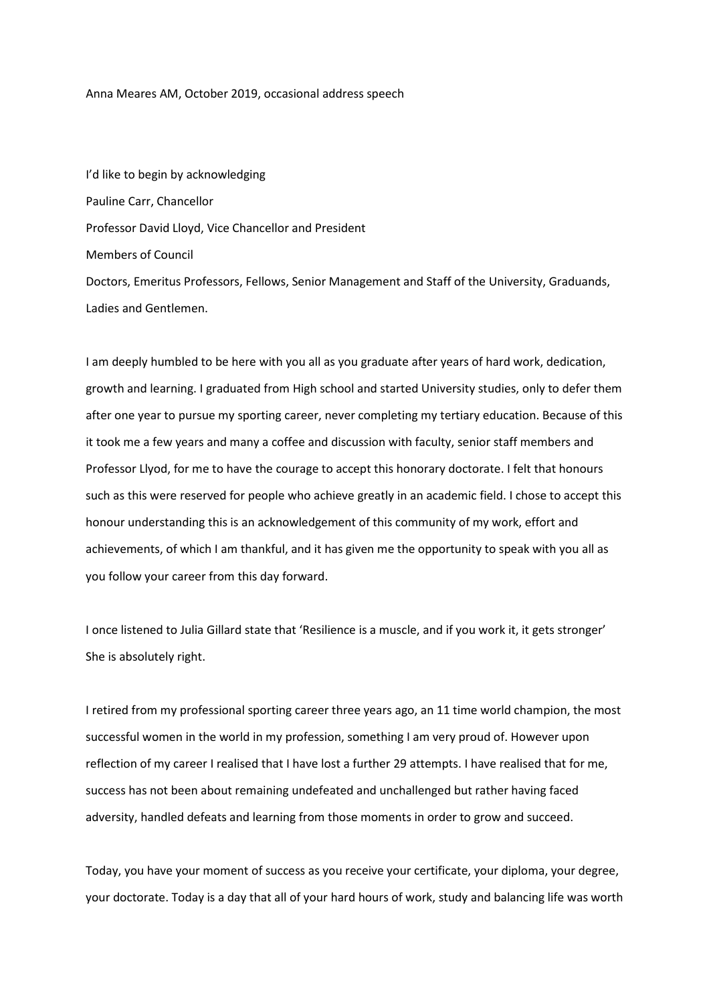## Anna Meares AM, October 2019, occasional address speech

I'd like to begin by acknowledging Pauline Carr, Chancellor Professor David Lloyd, Vice Chancellor and President Members of Council Doctors, Emeritus Professors, Fellows, Senior Management and Staff of the University, Graduands, Ladies and Gentlemen.

I am deeply humbled to be here with you all as you graduate after years of hard work, dedication, growth and learning. I graduated from High school and started University studies, only to defer them after one year to pursue my sporting career, never completing my tertiary education. Because of this it took me a few years and many a coffee and discussion with faculty, senior staff members and Professor Llyod, for me to have the courage to accept this honorary doctorate. I felt that honours such as this were reserved for people who achieve greatly in an academic field. I chose to accept this honour understanding this is an acknowledgement of this community of my work, effort and achievements, of which I am thankful, and it has given me the opportunity to speak with you all as you follow your career from this day forward.

I once listened to Julia Gillard state that 'Resilience is a muscle, and if you work it, it gets stronger' She is absolutely right.

I retired from my professional sporting career three years ago, an 11 time world champion, the most successful women in the world in my profession, something I am very proud of. However upon reflection of my career I realised that I have lost a further 29 attempts. I have realised that for me, success has not been about remaining undefeated and unchallenged but rather having faced adversity, handled defeats and learning from those moments in order to grow and succeed.

Today, you have your moment of success as you receive your certificate, your diploma, your degree, your doctorate. Today is a day that all of your hard hours of work, study and balancing life was worth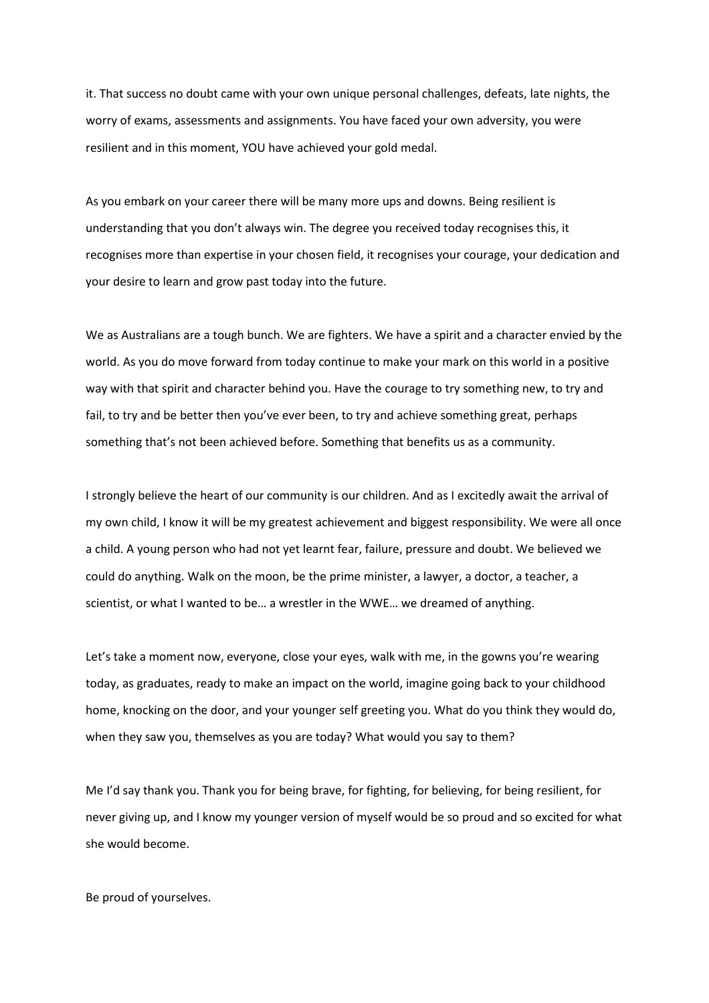it. That success no doubt came with your own unique personal challenges, defeats, late nights, the worry of exams, assessments and assignments. You have faced your own adversity, you were resilient and in this moment, YOU have achieved your gold medal.

As you embark on your career there will be many more ups and downs. Being resilient is understanding that you don't always win. The degree you received today recognises this, it recognises more than expertise in your chosen field, it recognises your courage, your dedication and your desire to learn and grow past today into the future.

We as Australians are a tough bunch. We are fighters. We have a spirit and a character envied by the world. As you do move forward from today continue to make your mark on this world in a positive way with that spirit and character behind you. Have the courage to try something new, to try and fail, to try and be better then you've ever been, to try and achieve something great, perhaps something that's not been achieved before. Something that benefits us as a community.

I strongly believe the heart of our community is our children. And as I excitedly await the arrival of my own child, I know it will be my greatest achievement and biggest responsibility. We were all once a child. A young person who had not yet learnt fear, failure, pressure and doubt. We believed we could do anything. Walk on the moon, be the prime minister, a lawyer, a doctor, a teacher, a scientist, or what I wanted to be… a wrestler in the WWE… we dreamed of anything.

Let's take a moment now, everyone, close your eyes, walk with me, in the gowns you're wearing today, as graduates, ready to make an impact on the world, imagine going back to your childhood home, knocking on the door, and your younger self greeting you. What do you think they would do, when they saw you, themselves as you are today? What would you say to them?

Me I'd say thank you. Thank you for being brave, for fighting, for believing, for being resilient, for never giving up, and I know my younger version of myself would be so proud and so excited for what she would become.

Be proud of yourselves.